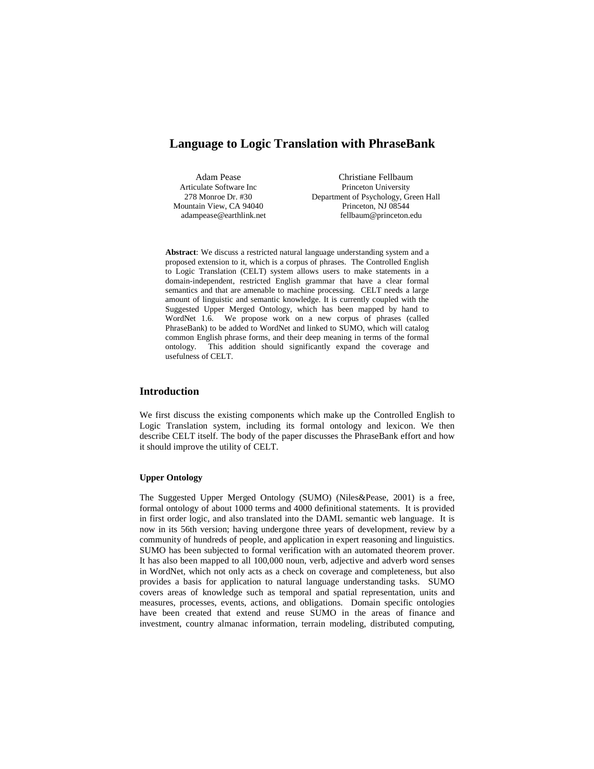# **Language to Logic Translation with PhraseBank**

Articulate Software Inc Mountain View, CA 94040 adampease@earthlink.net

Adam Pease Christiane Fellbaum<br>
Expansion Christiane Fellbaum<br>
Princeton University 278 Monroe Dr. #30 Department of Psychology, Green Hall Princeton, NJ 08544 fellbaum@princeton.edu

**Abstract**: We discuss a restricted natural language understanding system and a proposed extension to it, which is a corpus of phrases. The Controlled English to Logic Translation (CELT) system allows users to make statements in a domain-independent, restricted English grammar that have a clear formal semantics and that are amenable to machine processing. CELT needs a large amount of linguistic and semantic knowledge. It is currently coupled with the Suggested Upper Merged Ontology, which has been mapped by hand to WordNet 1.6. We propose work on a new corpus of phrases (called PhraseBank) to be added to WordNet and linked to SUMO, which will catalog common English phrase forms, and their deep meaning in terms of the formal ontology. This addition should significantly expand the coverage and usefulness of CELT.

## **Introduction**

We first discuss the existing components which make up the Controlled English to Logic Translation system, including its formal ontology and lexicon. We then describe CELT itself. The body of the paper discusses the PhraseBank effort and how it should improve the utility of CELT.

### **Upper Ontology**

The Suggested Upper Merged Ontology (SUMO) (Niles&Pease, 2001) is a free, formal ontology of about 1000 terms and 4000 definitional statements. It is provided in first order logic, and also translated into the DAML semantic web language. It is now in its 56th version; having undergone three years of development, review by a community of hundreds of people, and application in expert reasoning and linguistics. SUMO has been subjected to formal verification with an automated theorem prover. It has also been mapped to all 100,000 noun, verb, adjective and adverb word senses in WordNet, which not only acts as a check on coverage and completeness, but also provides a basis for application to natural language understanding tasks. SUMO covers areas of knowledge such as temporal and spatial representation, units and measures, processes, events, actions, and obligations. Domain specific ontologies have been created that extend and reuse SUMO in the areas of finance and investment, country almanac information, terrain modeling, distributed computing,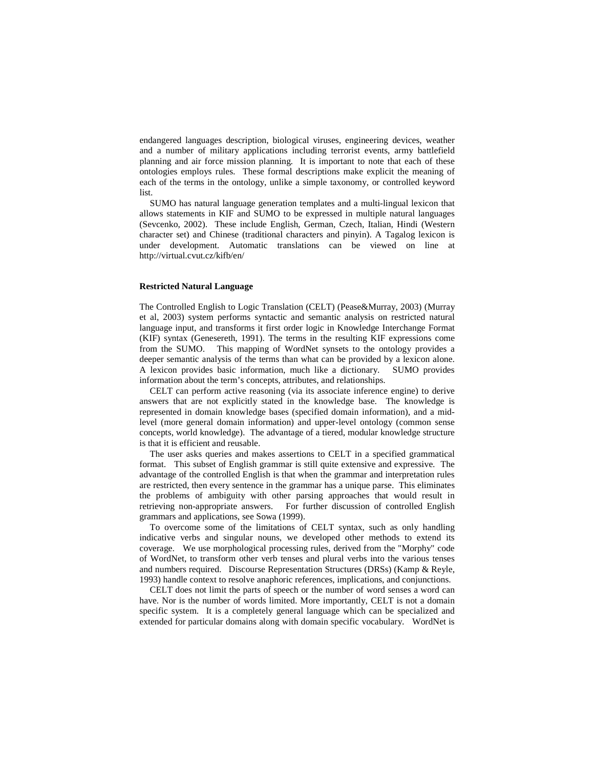endangered languages description, biological viruses, engineering devices, weather and a number of military applications including terrorist events, army battlefield planning and air force mission planning. It is important to note that each of these ontologies employs rules. These formal descriptions make explicit the meaning of each of the terms in the ontology, unlike a simple taxonomy, or controlled keyword list.

SUMO has natural language generation templates and a multi-lingual lexicon that allows statements in KIF and SUMO to be expressed in multiple natural languages (Sevcenko, 2002). These include English, German, Czech, Italian, Hindi (Western character set) and Chinese (traditional characters and pinyin). A Tagalog lexicon is under development. Automatic translations can be viewed on line at http://virtual.cvut.cz/kifb/en/

#### **Restricted Natural Language**

The Controlled English to Logic Translation (CELT) (Pease&Murray, 2003) (Murray et al, 2003) system performs syntactic and semantic analysis on restricted natural language input, and transforms it first order logic in Knowledge Interchange Format (KIF) syntax (Genesereth, 1991). The terms in the resulting KIF expressions come from the SUMO. This mapping of WordNet synsets to the ontology provides a deeper semantic analysis of the terms than what can be provided by a lexicon alone. A lexicon provides basic information, much like a dictionary. SUMO provides information about the term's concepts, attributes, and relationships.

CELT can perform active reasoning (via its associate inference engine) to derive answers that are not explicitly stated in the knowledge base. The knowledge is represented in domain knowledge bases (specified domain information), and a midlevel (more general domain information) and upper-level ontology (common sense concepts, world knowledge). The advantage of a tiered, modular knowledge structure is that it is efficient and reusable.

The user asks queries and makes assertions to CELT in a specified grammatical format. This subset of English grammar is still quite extensive and expressive. The advantage of the controlled English is that when the grammar and interpretation rules are restricted, then every sentence in the grammar has a unique parse. This eliminates the problems of ambiguity with other parsing approaches that would result in retrieving non-appropriate answers. For further discussion of controlled English grammars and applications, see Sowa (1999).

To overcome some of the limitations of CELT syntax, such as only handling indicative verbs and singular nouns, we developed other methods to extend its coverage. We use morphological processing rules, derived from the "Morphy" code of WordNet, to transform other verb tenses and plural verbs into the various tenses and numbers required. Discourse Representation Structures (DRSs) (Kamp & Reyle, 1993) handle context to resolve anaphoric references, implications, and conjunctions.

CELT does not limit the parts of speech or the number of word senses a word can have. Nor is the number of words limited. More importantly, CELT is not a domain specific system. It is a completely general language which can be specialized and extended for particular domains along with domain specific vocabulary. WordNet is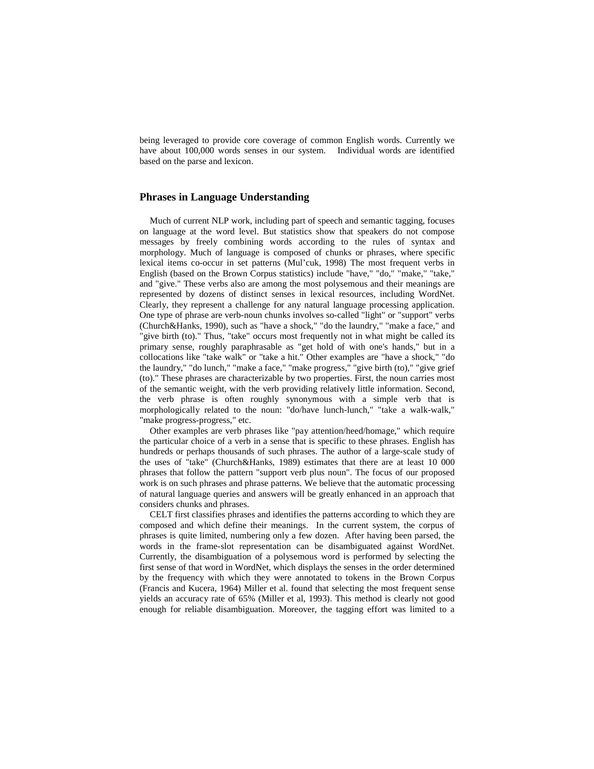being leveraged to provide core coverage of common English words. Currently we have about 100,000 words senses in our system. Individual words are identified based on the parse and lexicon.

# **Phrases in Language Understanding**

Much of current NLP work, including part of speech and semantic tagging, focuses on language at the word level. But statistics show that speakers do not compose messages by freely combining words according to the rules of syntax and morphology. Much of language is composed of chunks or phrases, where specific lexical items co-occur in set patterns (Mul'cuk, 1998) The most frequent verbs in English (based on the Brown Corpus statistics) include "have," "do," "make," "take," and "give." These verbs also are among the most polysemous and their meanings are represented by dozens of distinct senses in lexical resources, including WordNet. Clearly, they represent a challenge for any natural language processing application. One type of phrase are verb-noun chunks involves so-called "light" or "support" verbs (Church&Hanks, 1990), such as "have a shock," "do the laundry," "make a face," and "give birth (to)." Thus, "take" occurs most frequently not in what might be called its primary sense, roughly paraphrasable as "get hold of with one's hands," but in a collocations like "take walk" or "take a hit." Other examples are "have a shock," "do the laundry," "do lunch," "make a face," "make progress," "give birth (to)," "give grief (to)." These phrases are characterizable by two properties. First, the noun carries most of the semantic weight, with the verb providing relatively little information. Second, the verb phrase is often roughly synonymous with a simple verb that is morphologically related to the noun: "do/have lunch-lunch," "take a walk-walk," "make progress-progress," etc.

Other examples are verb phrases like "pay attention/heed/homage," which require the particular choice of a verb in a sense that is specific to these phrases. English has hundreds or perhaps thousands of such phrases. The author of a large-scale study of the uses of "take" (Church&Hanks, 1989) estimates that there are at least 10 000 phrases that follow the pattern "support verb plus noun". The focus of our proposed work is on such phrases and phrase patterns. We believe that the automatic processing of natural language queries and answers will be greatly enhanced in an approach that considers chunks and phrases.

CELT first classifies phrases and identifies the patterns according to which they are composed and which define their meanings. In the current system, the corpus of phrases is quite limited, numbering only a few dozen. After having been parsed, the words in the frame-slot representation can be disambiguated against WordNet. Currently, the disambiguation of a polysemous word is performed by selecting the first sense of that word in WordNet, which displays the senses in the order determined by the frequency with which they were annotated to tokens in the Brown Corpus (Francis and Kucera, 1964) Miller et al. found that selecting the most frequent sense yields an accuracy rate of 65% (Miller et al, 1993). This method is clearly not good enough for reliable disambiguation. Moreover, the tagging effort was limited to a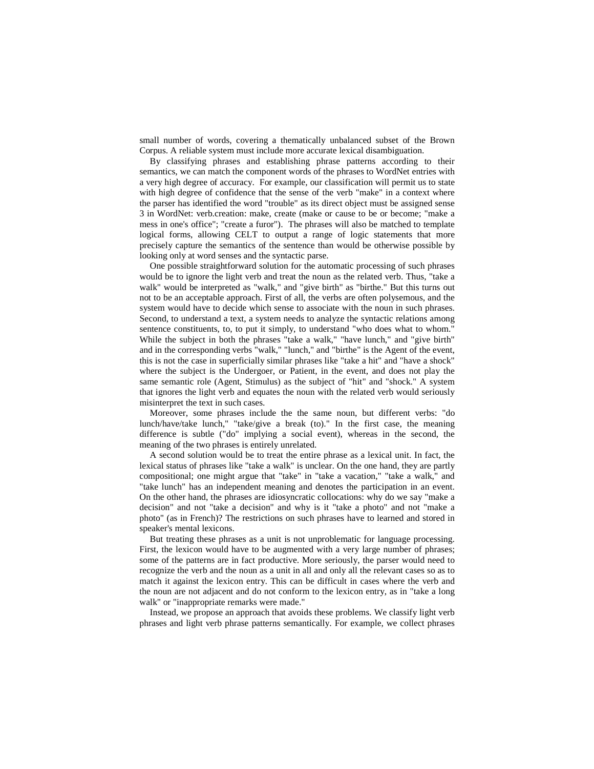small number of words, covering a thematically unbalanced subset of the Brown Corpus. A reliable system must include more accurate lexical disambiguation.

By classifying phrases and establishing phrase patterns according to their semantics, we can match the component words of the phrases to WordNet entries with a very high degree of accuracy. For example, our classification will permit us to state with high degree of confidence that the sense of the verb "make" in a context where the parser has identified the word "trouble" as its direct object must be assigned sense 3 in WordNet: verb.creation: make, create (make or cause to be or become; "make a mess in one's office"; "create a furor"). The phrases will also be matched to template logical forms, allowing CELT to output a range of logic statements that more precisely capture the semantics of the sentence than would be otherwise possible by looking only at word senses and the syntactic parse.

One possible straightforward solution for the automatic processing of such phrases would be to ignore the light verb and treat the noun as the related verb. Thus, "take a walk" would be interpreted as "walk," and "give birth" as "birthe." But this turns out not to be an acceptable approach. First of all, the verbs are often polysemous, and the system would have to decide which sense to associate with the noun in such phrases. Second, to understand a text, a system needs to analyze the syntactic relations among sentence constituents, to, to put it simply, to understand "who does what to whom." While the subject in both the phrases "take a walk," "have lunch," and "give birth" and in the corresponding verbs "walk," "lunch," and "birthe" is the Agent of the event, this is not the case in superficially similar phrases like "take a hit" and "have a shock" where the subject is the Undergoer, or Patient, in the event, and does not play the same semantic role (Agent, Stimulus) as the subject of "hit" and "shock." A system that ignores the light verb and equates the noun with the related verb would seriously misinterpret the text in such cases.

Moreover, some phrases include the the same noun, but different verbs: "do lunch/have/take lunch," "take/give a break (to)." In the first case, the meaning difference is subtle ("do" implying a social event), whereas in the second, the meaning of the two phrases is entirely unrelated.

A second solution would be to treat the entire phrase as a lexical unit. In fact, the lexical status of phrases like "take a walk" is unclear. On the one hand, they are partly compositional; one might argue that "take" in "take a vacation," "take a walk," and "take lunch" has an independent meaning and denotes the participation in an event. On the other hand, the phrases are idiosyncratic collocations: why do we say "make a decision" and not "take a decision" and why is it "take a photo" and not "make a photo" (as in French)? The restrictions on such phrases have to learned and stored in speaker's mental lexicons.

But treating these phrases as a unit is not unproblematic for language processing. First, the lexicon would have to be augmented with a very large number of phrases; some of the patterns are in fact productive. More seriously, the parser would need to recognize the verb and the noun as a unit in all and only all the relevant cases so as to match it against the lexicon entry. This can be difficult in cases where the verb and the noun are not adjacent and do not conform to the lexicon entry, as in "take a long walk" or "inappropriate remarks were made."

Instead, we propose an approach that avoids these problems. We classify light verb phrases and light verb phrase patterns semantically. For example, we collect phrases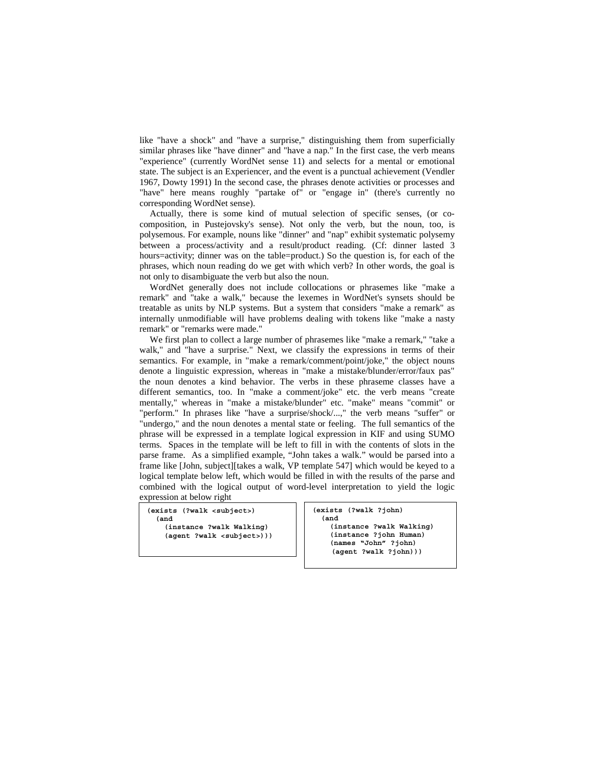like "have a shock" and "have a surprise," distinguishing them from superficially similar phrases like "have dinner" and "have a nap." In the first case, the verb means "experience" (currently WordNet sense 11) and selects for a mental or emotional state. The subject is an Experiencer, and the event is a punctual achievement (Vendler 1967, Dowty 1991) In the second case, the phrases denote activities or processes and "have" here means roughly "partake of" or "engage in" (there's currently no corresponding WordNet sense).

Actually, there is some kind of mutual selection of specific senses, (or cocomposition, in Pustejovsky's sense). Not only the verb, but the noun, too, is polysemous. For example, nouns like "dinner" and "nap" exhibit systematic polysemy between a process/activity and a result/product reading. (Cf: dinner lasted 3 hours=activity; dinner was on the table=product.) So the question is, for each of the phrases, which noun reading do we get with which verb? In other words, the goal is not only to disambiguate the verb but also the noun.

WordNet generally does not include collocations or phrasemes like "make a remark" and "take a walk," because the lexemes in WordNet's synsets should be treatable as units by NLP systems. But a system that considers "make a remark" as internally unmodifiable will have problems dealing with tokens like "make a nasty remark" or "remarks were made."

We first plan to collect a large number of phrasemes like "make a remark," "take a walk," and "have a surprise." Next, we classify the expressions in terms of their semantics. For example, in "make a remark/comment/point/joke," the object nouns denote a linguistic expression, whereas in "make a mistake/blunder/error/faux pas" the noun denotes a kind behavior. The verbs in these phraseme classes have a different semantics, too. In "make a comment/joke" etc. the verb means "create mentally," whereas in "make a mistake/blunder" etc. "make" means "commit" or "perform." In phrases like "have a surprise/shock/...," the verb means "suffer" or "undergo," and the noun denotes a mental state or feeling. The full semantics of the phrase will be expressed in a template logical expression in KIF and using SUMO terms. Spaces in the template will be left to fill in with the contents of slots in the parse frame. As a simplified example, "John takes a walk." would be parsed into a frame like [John, subject][takes a walk, VP template 547] which would be keyed to a logical template below left, which would be filled in with the results of the parse and combined with the logical output of word-level interpretation to yield the logic expression at below right

**(exists (?walk <subject>) (and (instance ?walk Walking)** 

 **(agent ?walk <subject>)))**

**(exists (?walk ?john) (and (instance ?walk Walking) (instance ?john Human) (names "John" ?john) (agent ?walk ?john)))**